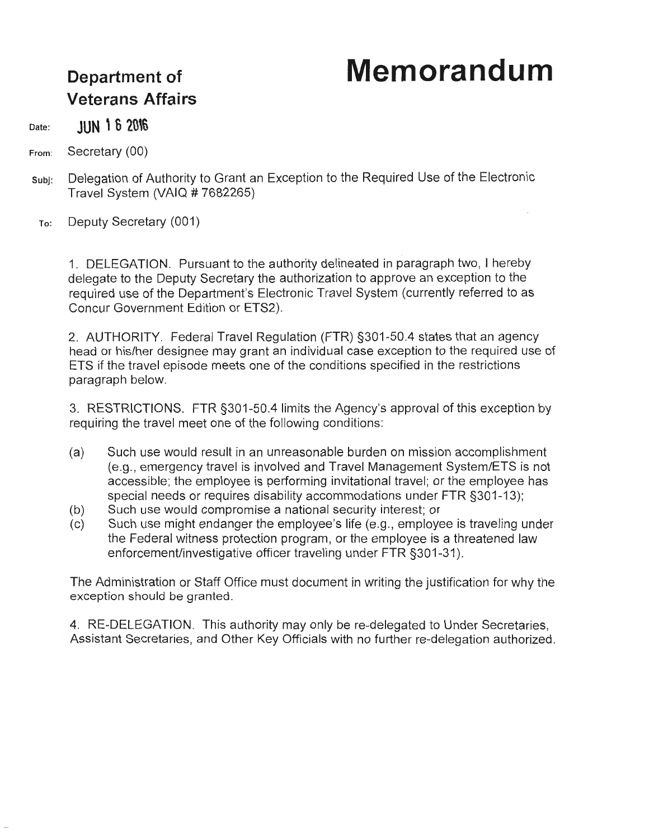## **Memorandum**

## **Department of Veterans Affairs**

Date: **JUN 1 6 2016** 

From: Secretary (00)

- subj: Delegation of Authority to Grant an Exception to the Required Use of the Electronic Travel System (VAIQ # 7682265)
- To: Deputy Secretary (001)

1. DELEGATION. Pursuant to the authority delineated in paragraph two, I hereby delegate to the Deputy Secretary the authorization to approve an exception to the required use of the Department's Electronic Travel System (currently referred to as Concur Government Edition or ETS2).

2. AUTHORITY. Federal Travel Regulation (FTR) §301-50.4 states that an agency head or his/her designee may grant an individual case exception to the required use of ETS if the travel episode meets one of the conditions specified in the restrictions paragraph below.

3. RESTRICTIONS. FTR §301-50.4 limits the Agency's approval of this exception by requiring the travel meet one of the following conditions:

- (a) Such use would result in an unreasonable burden on mission accomplishment (e.g., emergency travel is involved and Travel Management System/ETS is not accessible; the employee is performing invitational travel; or the employee has special needs or requires disability accommodations under FTR §301-13);
- (b) Such use would compromise a national security interest; or
- (c) Such use might endanger the employee's life (e.g., employee is traveling under the Federal witness protection program, or the employee is a threatened law enforcement/investigative officer traveling under FTR §301-31).

The Administration or Staff Office must document in writing the justification for why the exception should be granted.

4. RE-DELEGATION. This authority may only be re-delegated to Under Secretaries, Assistant Secretaries, and Other Key Officials with no further re-delegation authorized.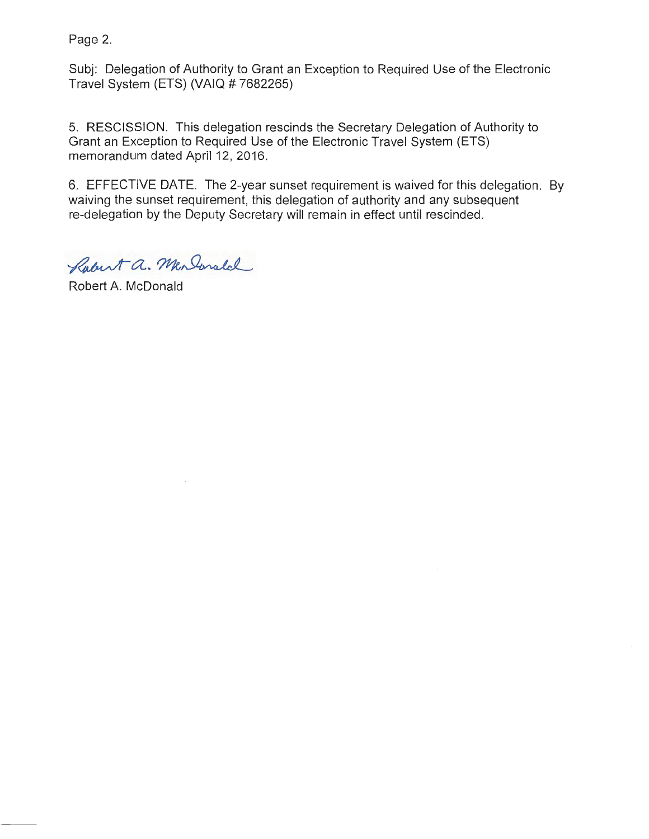Page 2.

Subj: Delegation of Authority to Grant an Exception to Required Use of the Electronic Travel System (ETS) (VAIQ # 7682265)

5. RESCISSION. This delegation rescinds the Secretary Delegation of Authority to Grant an Exception to Required Use of the Electronic Travel System (ETS) memorandum dated April 12, 2016.

6. EFFECTIVE DATE. The 2-year sunset requirement is waived for this delegation. By waiving the sunset requirement, this delegation of authority and any subsequent re-delegation by the Deputy Secretary will remain in effect until rescinded.

Robert a. Men Ionald

Robert A. McDonald